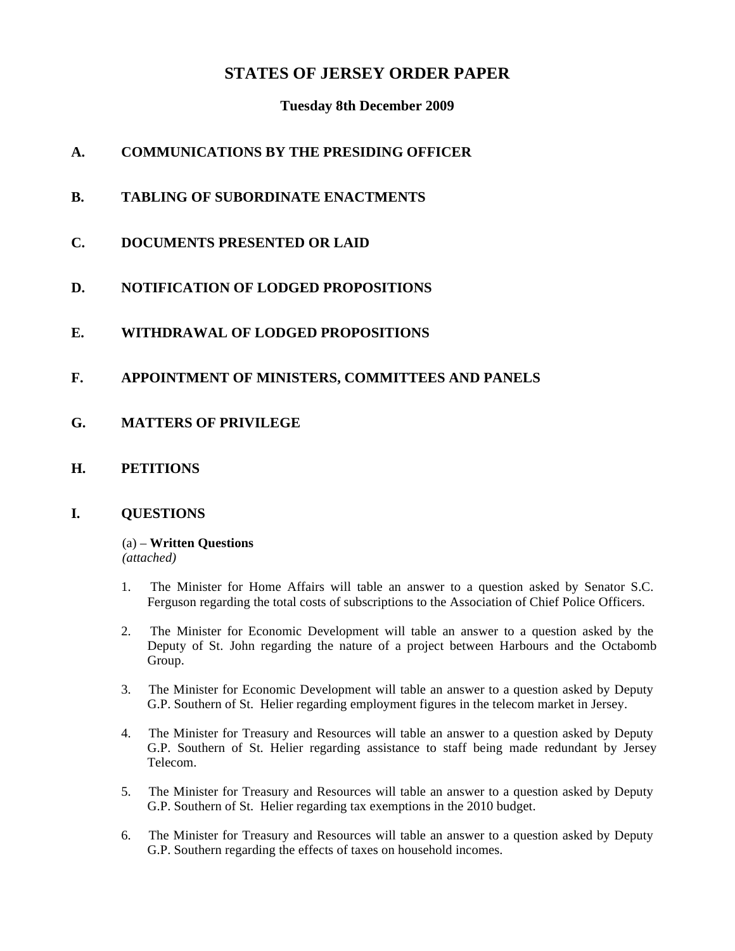# **STATES OF JERSEY ORDER PAPER**

## **Tuesday 8th December 2009**

# **A. COMMUNICATIONS BY THE PRESIDING OFFICER**

- **B. TABLING OF SUBORDINATE ENACTMENTS**
- **C. DOCUMENTS PRESENTED OR LAID**
- **D. NOTIFICATION OF LODGED PROPOSITIONS**

# **E. WITHDRAWAL OF LODGED PROPOSITIONS**

- **F. APPOINTMENT OF MINISTERS, COMMITTEES AND PANELS**
- **G. MATTERS OF PRIVILEGE**
- **H. PETITIONS**

### **I. QUESTIONS**

#### (a) – **Written Questions** *(attached)*

- 1. The Minister for Home Affairs will table an answer to a question asked by Senator S.C. Ferguson regarding the total costs of subscriptions to the Association of Chief Police Officers.
- 2. The Minister for Economic Development will table an answer to a question asked by the Deputy of St. John regarding the nature of a project between Harbours and the Octabomb Group.
- 3. The Minister for Economic Development will table an answer to a question asked by Deputy G.P. Southern of St. Helier regarding employment figures in the telecom market in Jersey.
- 4. The Minister for Treasury and Resources will table an answer to a question asked by Deputy G.P. Southern of St. Helier regarding assistance to staff being made redundant by Jersey Telecom.
- 5. The Minister for Treasury and Resources will table an answer to a question asked by Deputy G.P. Southern of St. Helier regarding tax exemptions in the 2010 budget.
- 6. The Minister for Treasury and Resources will table an answer to a question asked by Deputy G.P. Southern regarding the effects of taxes on household incomes.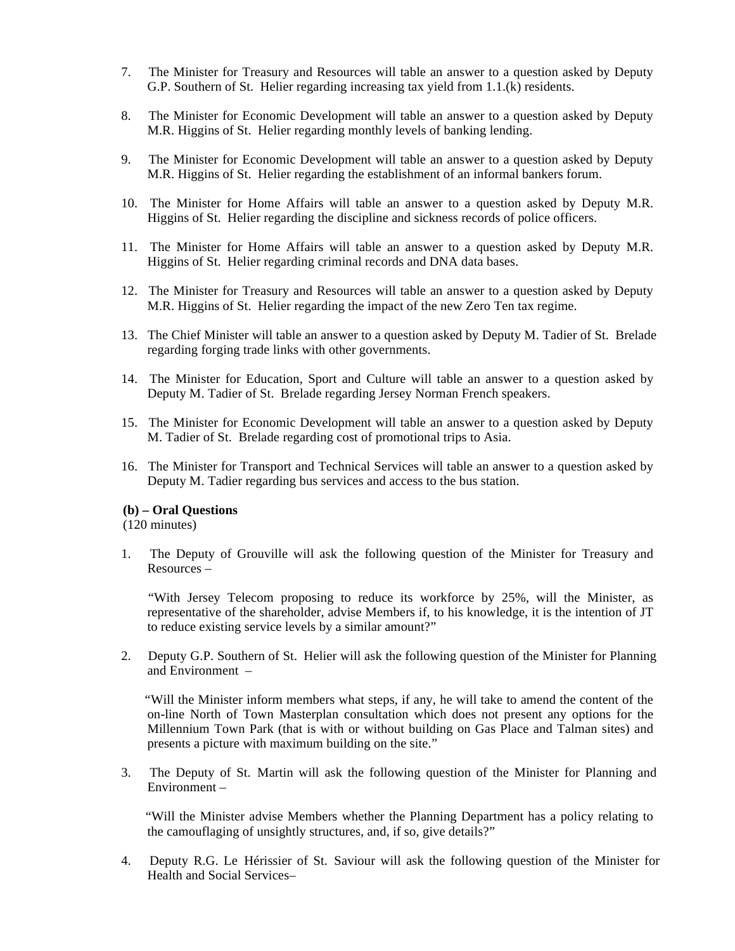- 7. The Minister for Treasury and Resources will table an answer to a question asked by Deputy G.P. Southern of St. Helier regarding increasing tax yield from 1.1.(k) residents.
- 8. The Minister for Economic Development will table an answer to a question asked by Deputy M.R. Higgins of St. Helier regarding monthly levels of banking lending.
- 9. The Minister for Economic Development will table an answer to a question asked by Deputy M.R. Higgins of St. Helier regarding the establishment of an informal bankers forum.
- 10. The Minister for Home Affairs will table an answer to a question asked by Deputy M.R. Higgins of St. Helier regarding the discipline and sickness records of police officers.
- 11. The Minister for Home Affairs will table an answer to a question asked by Deputy M.R. Higgins of St. Helier regarding criminal records and DNA data bases.
- 12. The Minister for Treasury and Resources will table an answer to a question asked by Deputy M.R. Higgins of St. Helier regarding the impact of the new Zero Ten tax regime.
- 13. The Chief Minister will table an answer to a question asked by Deputy M. Tadier of St. Brelade regarding forging trade links with other governments.
- 14. The Minister for Education, Sport and Culture will table an answer to a question asked by Deputy M. Tadier of St. Brelade regarding Jersey Norman French speakers.
- 15. The Minister for Economic Development will table an answer to a question asked by Deputy M. Tadier of St. Brelade regarding cost of promotional trips to Asia.
- 16. The Minister for Transport and Technical Services will table an answer to a question asked by Deputy M. Tadier regarding bus services and access to the bus station.

#### **(b) – Oral Questions**

(120 minutes)

1. The Deputy of Grouville will ask the following question of the Minister for Treasury and Resources –

 "With Jersey Telecom proposing to reduce its workforce by 25%, will the Minister, as representative of the shareholder, advise Members if, to his knowledge, it is the intention of JT to reduce existing service levels by a similar amount?"

2. Deputy G.P. Southern of St. Helier will ask the following question of the Minister for Planning and Environment –

 "Will the Minister inform members what steps, if any, he will take to amend the content of the on-line North of Town Masterplan consultation which does not present any options for the Millennium Town Park (that is with or without building on Gas Place and Talman sites) and presents a picture with maximum building on the site."

3. The Deputy of St. Martin will ask the following question of the Minister for Planning and Environment –

 "Will the Minister advise Members whether the Planning Department has a policy relating to the camouflaging of unsightly structures, and, if so, give details?"

4. Deputy R.G. Le Hérissier of St. Saviour will ask the following question of the Minister for Health and Social Services–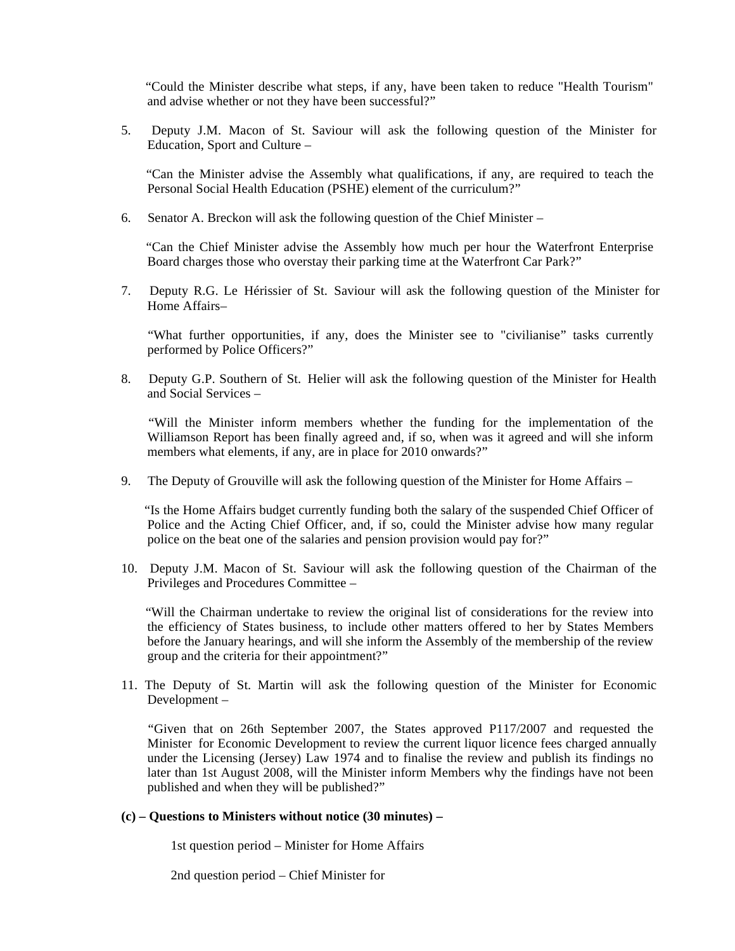"Could the Minister describe what steps, if any, have been taken to reduce "Health Tourism" and advise whether or not they have been successful?"

5. Deputy J.M. Macon of St. Saviour will ask the following question of the Minister for Education, Sport and Culture –

 "Can the Minister advise the Assembly what qualifications, if any, are required to teach the Personal Social Health Education (PSHE) element of the curriculum?"

6. Senator A. Breckon will ask the following question of the Chief Minister –

 "Can the Chief Minister advise the Assembly how much per hour the Waterfront Enterprise Board charges those who overstay their parking time at the Waterfront Car Park?"

7. Deputy R.G. Le Hérissier of St. Saviour will ask the following question of the Minister for Home Affairs–

 "What further opportunities, if any, does the Minister see to "civilianise" tasks currently performed by Police Officers?"

8. Deputy G.P. Southern of St. Helier will ask the following question of the Minister for Health and Social Services –

 "Will the Minister inform members whether the funding for the implementation of the Williamson Report has been finally agreed and, if so, when was it agreed and will she inform members what elements, if any, are in place for 2010 onwards?"

9. The Deputy of Grouville will ask the following question of the Minister for Home Affairs –

 "Is the Home Affairs budget currently funding both the salary of the suspended Chief Officer of Police and the Acting Chief Officer, and, if so, could the Minister advise how many regular police on the beat one of the salaries and pension provision would pay for?"

10. Deputy J.M. Macon of St. Saviour will ask the following question of the Chairman of the Privileges and Procedures Committee –

 "Will the Chairman undertake to review the original list of considerations for the review into the efficiency of States business, to include other matters offered to her by States Members before the January hearings, and will she inform the Assembly of the membership of the review group and the criteria for their appointment?"

11. The Deputy of St. Martin will ask the following question of the Minister for Economic Development –

 "Given that on 26th September 2007, the States approved P117/2007 and requested the Minister for Economic Development to review the current liquor licence fees charged annually under the Licensing (Jersey) Law 1974 and to finalise the review and publish its findings no later than 1st August 2008, will the Minister inform Members why the findings have not been published and when they will be published?"

#### **(c) – Questions to Ministers without notice (30 minutes) –**

1st question period – Minister for Home Affairs

2nd question period – Chief Minister for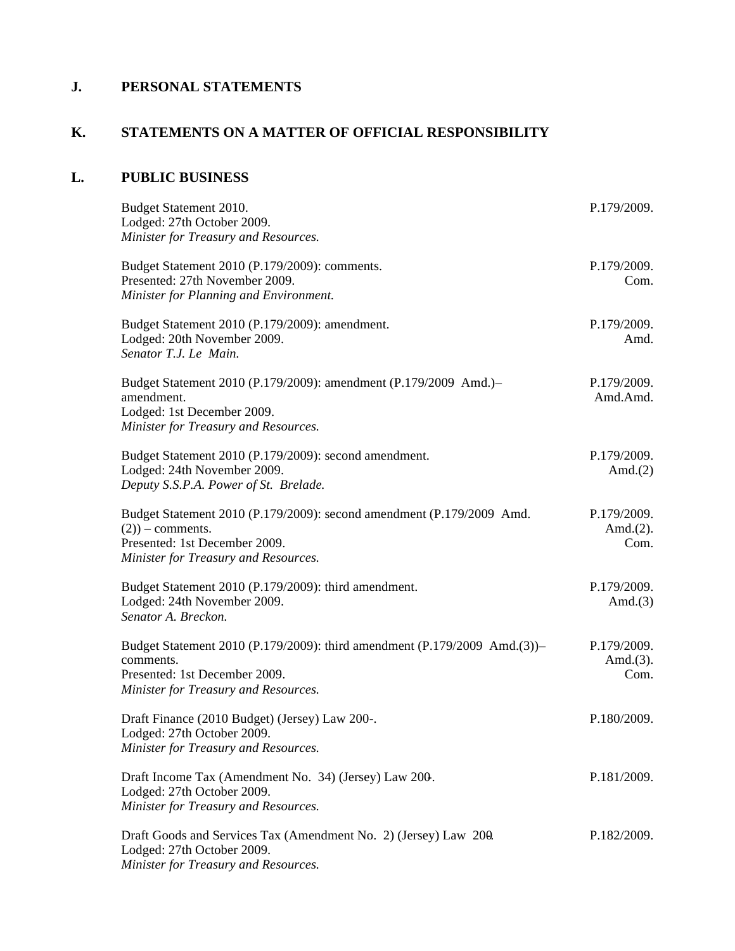## **J. PERSONAL STATEMENTS**

## **K. STATEMENTS ON A MATTER OF OFFICIAL RESPONSIBILITY**

## **L. PUBLIC BUSINESS**

| Budget Statement 2010.<br>Lodged: 27th October 2009.<br>Minister for Treasury and Resources.                                                                          | P.179/2009.                         |
|-----------------------------------------------------------------------------------------------------------------------------------------------------------------------|-------------------------------------|
| Budget Statement 2010 (P.179/2009): comments.<br>Presented: 27th November 2009.<br>Minister for Planning and Environment.                                             | P.179/2009.<br>Com.                 |
| Budget Statement 2010 (P.179/2009): amendment.<br>Lodged: 20th November 2009.<br>Senator T.J. Le Main.                                                                | P.179/2009.<br>Amd.                 |
| Budget Statement 2010 (P.179/2009): amendment (P.179/2009 Amd.)-<br>amendment.<br>Lodged: 1st December 2009.<br>Minister for Treasury and Resources.                  | P.179/2009.<br>Amd.Amd.             |
| Budget Statement 2010 (P.179/2009): second amendment.<br>Lodged: 24th November 2009.<br>Deputy S.S.P.A. Power of St. Brelade.                                         | P.179/2009.<br>Amd. $(2)$           |
| Budget Statement 2010 (P.179/2009): second amendment (P.179/2009 Amd.<br>$(2)$ ) – comments.<br>Presented: 1st December 2009.<br>Minister for Treasury and Resources. | P.179/2009.<br>Amd. $(2)$ .<br>Com. |
| Budget Statement 2010 (P.179/2009): third amendment.<br>Lodged: 24th November 2009.<br>Senator A. Breckon.                                                            | P.179/2009.<br>Amd. $(3)$           |
| Budget Statement 2010 (P.179/2009): third amendment (P.179/2009 Amd.(3))–<br>comments.<br>Presented: 1st December 2009.<br>Minister for Treasury and Resources.       | P.179/2009.<br>Amd. $(3)$ .<br>Com. |
| Draft Finance (2010 Budget) (Jersey) Law 200-.<br>Lodged: 27th October 2009.<br>Minister for Treasury and Resources.                                                  | P.180/2009.                         |
| Draft Income Tax (Amendment No. 34) (Jersey) Law 200.<br>Lodged: 27th October 2009.<br>Minister for Treasury and Resources.                                           | P.181/2009.                         |
| Draft Goods and Services Tax (Amendment No. 2) (Jersey) Law 200.<br>Lodged: 27th October 2009.<br>Minister for Treasury and Resources.                                | P.182/2009.                         |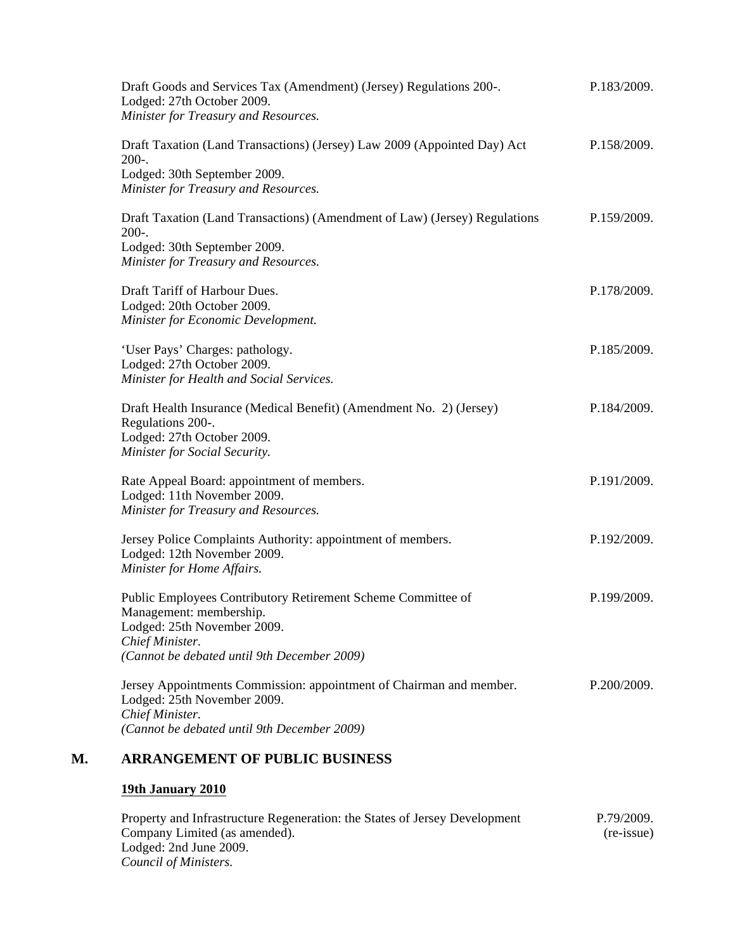| Draft Goods and Services Tax (Amendment) (Jersey) Regulations 200-.<br>Lodged: 27th October 2009.<br>Minister for Treasury and Resources.                                                | P.183/2009. |  |  |
|------------------------------------------------------------------------------------------------------------------------------------------------------------------------------------------|-------------|--|--|
| Draft Taxation (Land Transactions) (Jersey) Law 2009 (Appointed Day) Act<br>$200-.$<br>Lodged: 30th September 2009.<br>Minister for Treasury and Resources.                              | P.158/2009. |  |  |
| Draft Taxation (Land Transactions) (Amendment of Law) (Jersey) Regulations<br>$200-.$<br>Lodged: 30th September 2009.<br>Minister for Treasury and Resources.                            | P.159/2009. |  |  |
| Draft Tariff of Harbour Dues.<br>Lodged: 20th October 2009.<br>Minister for Economic Development.                                                                                        | P.178/2009. |  |  |
| 'User Pays' Charges: pathology.<br>Lodged: 27th October 2009.<br>Minister for Health and Social Services.                                                                                | P.185/2009. |  |  |
| Draft Health Insurance (Medical Benefit) (Amendment No. 2) (Jersey)<br>Regulations 200-.<br>Lodged: 27th October 2009.<br>Minister for Social Security.                                  | P.184/2009. |  |  |
| Rate Appeal Board: appointment of members.<br>Lodged: 11th November 2009.<br>Minister for Treasury and Resources.                                                                        | P.191/2009. |  |  |
| Jersey Police Complaints Authority: appointment of members.<br>Lodged: 12th November 2009.<br>Minister for Home Affairs.                                                                 | P.192/2009. |  |  |
| Public Employees Contributory Retirement Scheme Committee of<br>Management: membership.<br>Lodged: 25th November 2009.<br>Chief Minister.<br>(Cannot be debated until 9th December 2009) | P.199/2009. |  |  |
| Jersey Appointments Commission: appointment of Chairman and member.<br>Lodged: 25th November 2009.<br>Chief Minister.<br>(Cannot be debated until 9th December 2009)                     | P.200/2009. |  |  |
| <b>ARRANGEMENT OF PUBLIC BUSINESS</b>                                                                                                                                                    |             |  |  |
|                                                                                                                                                                                          |             |  |  |

Property and Infrastructure Regeneration: the States of Jersey Development Company Limited (as amended). Lodged: 2nd June 2009. *Council of Ministers.* P.79/2009. (re-issue)

#### **M. ARRANGEMENT OF PUBLIC BUSINESS**

### **19th January 2010**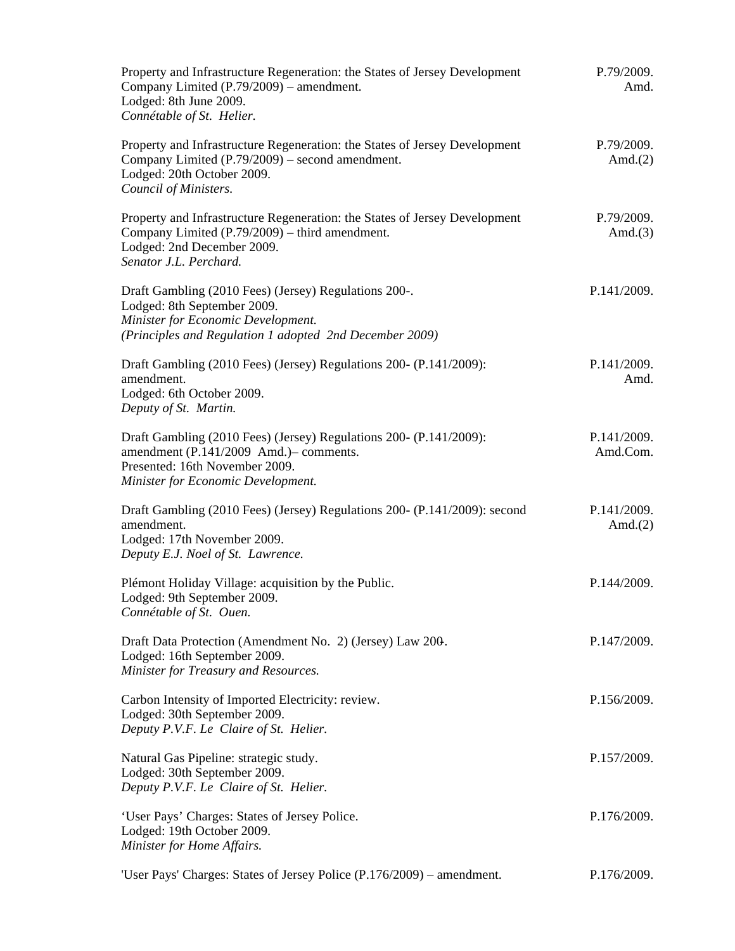| Property and Infrastructure Regeneration: the States of Jersey Development<br>Company Limited (P.79/2009) – amendment.<br>Lodged: 8th June 2009.<br>Connétable of St. Helier.         | P.79/2009.<br>Amd.        |  |
|---------------------------------------------------------------------------------------------------------------------------------------------------------------------------------------|---------------------------|--|
| Property and Infrastructure Regeneration: the States of Jersey Development<br>Company Limited (P.79/2009) – second amendment.<br>Lodged: 20th October 2009.<br>Council of Ministers.  | P.79/2009.<br>Amd. $(2)$  |  |
| Property and Infrastructure Regeneration: the States of Jersey Development<br>Company Limited (P.79/2009) – third amendment.<br>Lodged: 2nd December 2009.<br>Senator J.L. Perchard.  | P.79/2009.<br>Amd. $(3)$  |  |
| Draft Gambling (2010 Fees) (Jersey) Regulations 200-.<br>Lodged: 8th September 2009.<br>Minister for Economic Development.<br>(Principles and Regulation 1 adopted 2nd December 2009) | P.141/2009.               |  |
| Draft Gambling (2010 Fees) (Jersey) Regulations 200- (P.141/2009):<br>amendment.<br>Lodged: 6th October 2009.<br>Deputy of St. Martin.                                                | P.141/2009.<br>Amd.       |  |
| Draft Gambling (2010 Fees) (Jersey) Regulations 200- (P.141/2009):<br>amendment (P.141/2009 Amd.) – comments.<br>Presented: 16th November 2009.<br>Minister for Economic Development. | P.141/2009.<br>Amd.Com.   |  |
| Draft Gambling (2010 Fees) (Jersey) Regulations 200- (P.141/2009): second<br>amendment.<br>Lodged: 17th November 2009.<br>Deputy E.J. Noel of St. Lawrence.                           | P.141/2009.<br>Amd. $(2)$ |  |
| Plémont Holiday Village: acquisition by the Public.<br>Lodged: 9th September 2009.<br>Connétable of St. Ouen.                                                                         | P.144/2009.               |  |
| Draft Data Protection (Amendment No. 2) (Jersey) Law 200.<br>Lodged: 16th September 2009.<br>Minister for Treasury and Resources.                                                     | P.147/2009.               |  |
| Carbon Intensity of Imported Electricity: review.<br>Lodged: 30th September 2009.<br>Deputy P.V.F. Le Claire of St. Helier.                                                           | P.156/2009.               |  |
| Natural Gas Pipeline: strategic study.<br>Lodged: 30th September 2009.<br>Deputy P.V.F. Le Claire of St. Helier.                                                                      | P.157/2009.               |  |
| 'User Pays' Charges: States of Jersey Police.<br>Lodged: 19th October 2009.<br>Minister for Home Affairs.                                                                             | P.176/2009.               |  |
| 'User Pays' Charges: States of Jersey Police (P.176/2009) – amendment.                                                                                                                | P.176/2009.               |  |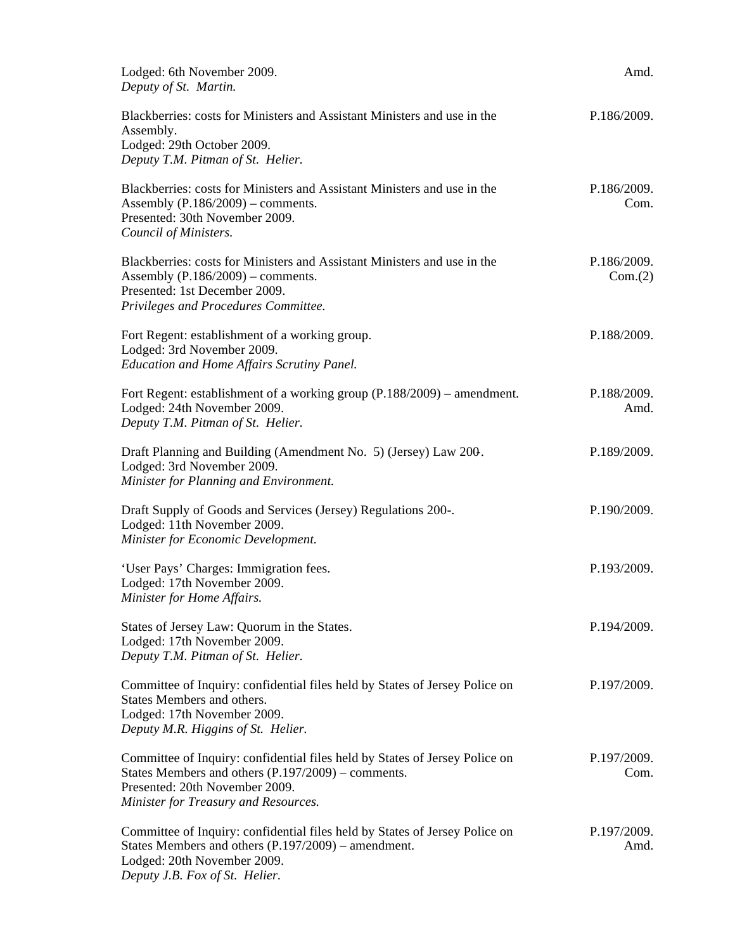| Lodged: 6th November 2009.<br>Deputy of St. Martin.                                                                                                                                                           | Amd.                   |
|---------------------------------------------------------------------------------------------------------------------------------------------------------------------------------------------------------------|------------------------|
| Blackberries: costs for Ministers and Assistant Ministers and use in the<br>Assembly.<br>Lodged: 29th October 2009.<br>Deputy T.M. Pitman of St. Helier.                                                      | P.186/2009.            |
| Blackberries: costs for Ministers and Assistant Ministers and use in the<br>Assembly $(P.186/2009)$ – comments.<br>Presented: 30th November 2009.<br>Council of Ministers.                                    | P.186/2009.<br>Com.    |
| Blackberries: costs for Ministers and Assistant Ministers and use in the<br>Assembly $(P.186/2009)$ – comments.<br>Presented: 1st December 2009.<br>Privileges and Procedures Committee.                      | P.186/2009.<br>Com.(2) |
| Fort Regent: establishment of a working group.<br>Lodged: 3rd November 2009.<br><b>Education and Home Affairs Scrutiny Panel.</b>                                                                             | P.188/2009.            |
| Fort Regent: establishment of a working group (P.188/2009) – amendment.<br>Lodged: 24th November 2009.<br>Deputy T.M. Pitman of St. Helier.                                                                   | P.188/2009.<br>Amd.    |
| Draft Planning and Building (Amendment No. 5) (Jersey) Law 200.<br>Lodged: 3rd November 2009.<br>Minister for Planning and Environment.                                                                       | P.189/2009.            |
| Draft Supply of Goods and Services (Jersey) Regulations 200-.<br>Lodged: 11th November 2009.<br>Minister for Economic Development.                                                                            | P.190/2009.            |
| 'User Pays' Charges: Immigration fees.<br>Lodged: 17th November 2009.<br>Minister for Home Affairs.                                                                                                           | P.193/2009.            |
| States of Jersey Law: Quorum in the States.<br>Lodged: 17th November 2009.<br>Deputy T.M. Pitman of St. Helier.                                                                                               | P.194/2009.            |
| Committee of Inquiry: confidential files held by States of Jersey Police on<br>States Members and others.<br>Lodged: 17th November 2009.<br>Deputy M.R. Higgins of St. Helier.                                | P.197/2009.            |
| Committee of Inquiry: confidential files held by States of Jersey Police on<br>States Members and others $(P.197/2009)$ – comments.<br>Presented: 20th November 2009.<br>Minister for Treasury and Resources. | P.197/2009.<br>Com.    |
| Committee of Inquiry: confidential files held by States of Jersey Police on<br>States Members and others (P.197/2009) – amendment.<br>Lodged: 20th November 2009.<br>Deputy J.B. Fox of St. Helier.           | P.197/2009.<br>Amd.    |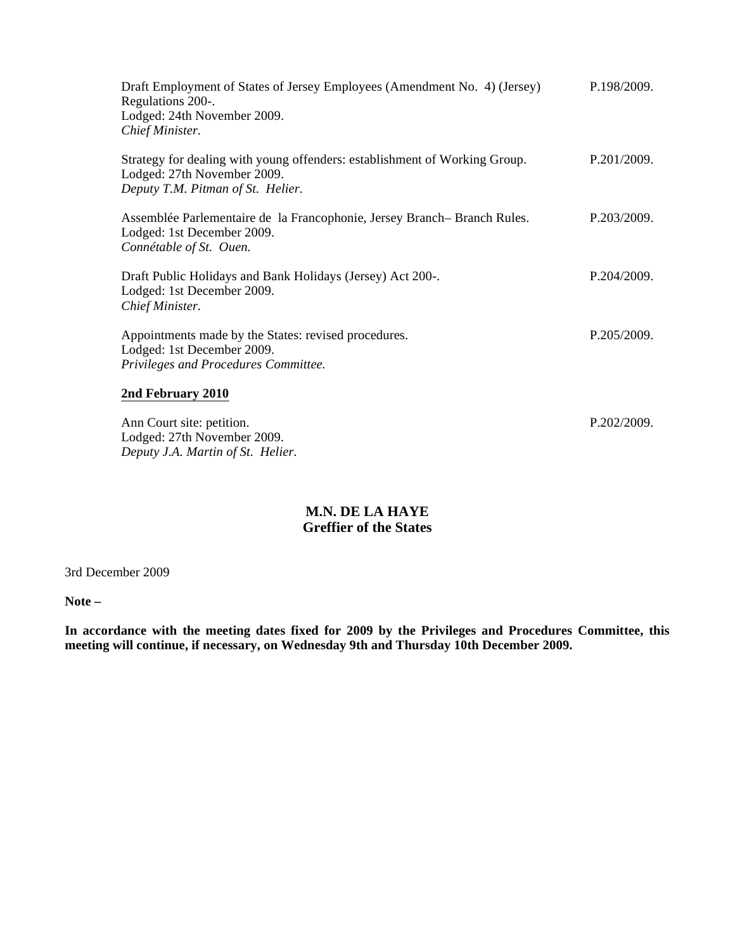| Draft Employment of States of Jersey Employees (Amendment No. 4) (Jersey)<br>Regulations 200-.<br>Lodged: 24th November 2009.<br>Chief Minister. | P.198/2009. |
|--------------------------------------------------------------------------------------------------------------------------------------------------|-------------|
| Strategy for dealing with young offenders: establishment of Working Group.<br>Lodged: 27th November 2009.<br>Deputy T.M. Pitman of St. Helier.   | P.201/2009. |
| Assemblée Parlementaire de la Francophonie, Jersey Branch–Branch Rules.<br>Lodged: 1st December 2009.<br>Connétable of St. Ouen.                 | P.203/2009. |
| Draft Public Holidays and Bank Holidays (Jersey) Act 200-.<br>Lodged: 1st December 2009.<br>Chief Minister.                                      | P.204/2009. |
| Appointments made by the States: revised procedures.<br>Lodged: 1st December 2009.<br>Privileges and Procedures Committee.                       | P.205/2009. |
| 2nd February 2010                                                                                                                                |             |
| Ann Court site: petition.                                                                                                                        | P.202/2009. |

**M.N. DE LA HAYE Greffier of the States**

3rd December 2009

Lodged: 27th November 2009. *Deputy J.A. Martin of St. Helier.*

**Note –**

**In accordance with the meeting dates fixed for 2009 by the Privileges and Procedures Committee, this meeting will continue, if necessary, on Wednesday 9th and Thursday 10th December 2009.**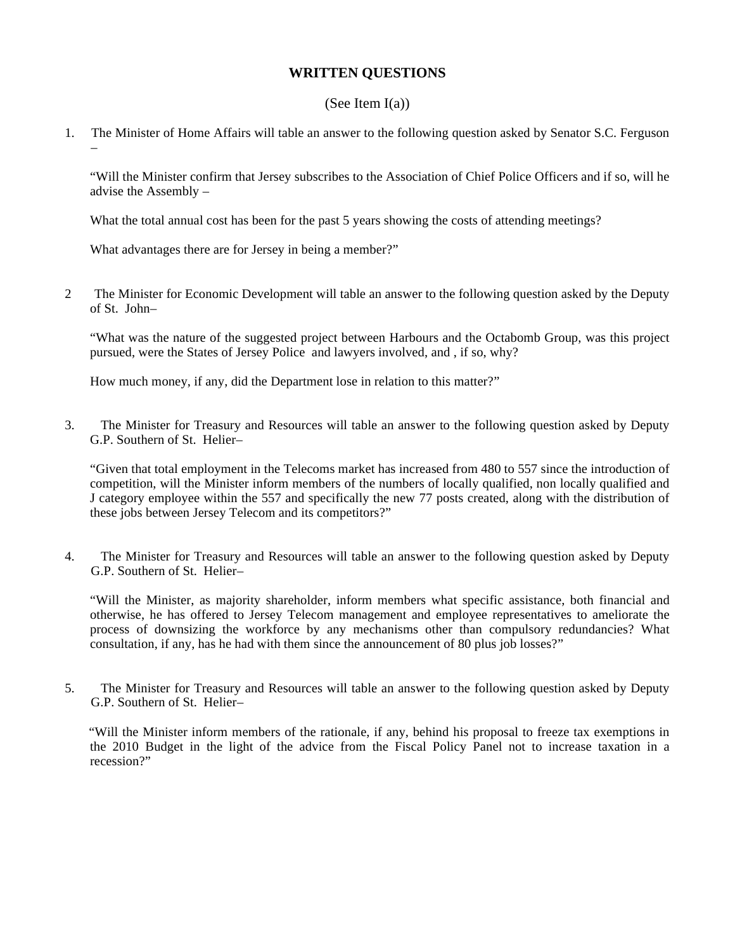#### **WRITTEN QUESTIONS**

#### (See Item  $I(a)$ )

1. The Minister of Home Affairs will table an answer to the following question asked by Senator S.C. Ferguson –

"Will the Minister confirm that Jersey subscribes to the Association of Chief Police Officers and if so, will he advise the Assembly –

What the total annual cost has been for the past 5 years showing the costs of attending meetings?

What advantages there are for Jersey in being a member?"

2 The Minister for Economic Development will table an answer to the following question asked by the Deputy of St. John–

"What was the nature of the suggested project between Harbours and the Octabomb Group, was this project pursued, were the States of Jersey Police and lawyers involved, and , if so, why?

How much money, if any, did the Department lose in relation to this matter?"

3. The Minister for Treasury and Resources will table an answer to the following question asked by Deputy G.P. Southern of St. Helier–

"Given that total employment in the Telecoms market has increased from 480 to 557 since the introduction of competition, will the Minister inform members of the numbers of locally qualified, non locally qualified and J category employee within the 557 and specifically the new 77 posts created, along with the distribution of these jobs between Jersey Telecom and its competitors?"

4. The Minister for Treasury and Resources will table an answer to the following question asked by Deputy G.P. Southern of St. Helier–

 "Will the Minister, as majority shareholder, inform members what specific assistance, both financial and otherwise, he has offered to Jersey Telecom management and employee representatives to ameliorate the process of downsizing the workforce by any mechanisms other than compulsory redundancies? What consultation, if any, has he had with them since the announcement of 80 plus job losses?"

5. The Minister for Treasury and Resources will table an answer to the following question asked by Deputy G.P. Southern of St. Helier–

 "Will the Minister inform members of the rationale, if any, behind his proposal to freeze tax exemptions in the 2010 Budget in the light of the advice from the Fiscal Policy Panel not to increase taxation in a recession?"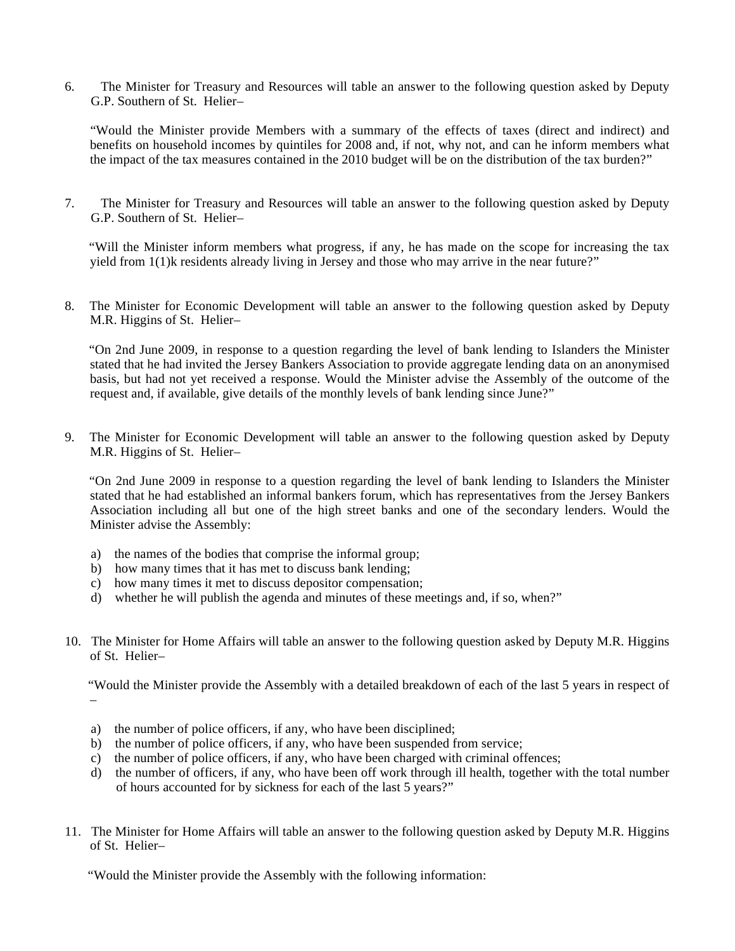6. The Minister for Treasury and Resources will table an answer to the following question asked by Deputy G.P. Southern of St. Helier–

 "Would the Minister provide Members with a summary of the effects of taxes (direct and indirect) and benefits on household incomes by quintiles for 2008 and, if not, why not, and can he inform members what the impact of the tax measures contained in the 2010 budget will be on the distribution of the tax burden?"

7. The Minister for Treasury and Resources will table an answer to the following question asked by Deputy G.P. Southern of St. Helier–

 "Will the Minister inform members what progress, if any, he has made on the scope for increasing the tax yield from 1(1)k residents already living in Jersey and those who may arrive in the near future?"

8. The Minister for Economic Development will table an answer to the following question asked by Deputy M.R. Higgins of St. Helier–

 "On 2nd June 2009, in response to a question regarding the level of bank lending to Islanders the Minister stated that he had invited the Jersey Bankers Association to provide aggregate lending data on an anonymised basis, but had not yet received a response. Would the Minister advise the Assembly of the outcome of the request and, if available, give details of the monthly levels of bank lending since June?"

9. The Minister for Economic Development will table an answer to the following question asked by Deputy M.R. Higgins of St. Helier–

 "On 2nd June 2009 in response to a question regarding the level of bank lending to Islanders the Minister stated that he had established an informal bankers forum, which has representatives from the Jersey Bankers Association including all but one of the high street banks and one of the secondary lenders. Would the Minister advise the Assembly:

- a) the names of the bodies that comprise the informal group;
- b) how many times that it has met to discuss bank lending;
- c) how many times it met to discuss depositor compensation;
- d) whether he will publish the agenda and minutes of these meetings and, if so, when?"
- 10. The Minister for Home Affairs will table an answer to the following question asked by Deputy M.R. Higgins of St. Helier–

 "Would the Minister provide the Assembly with a detailed breakdown of each of the last 5 years in respect of –

- a) the number of police officers, if any, who have been disciplined;
- b) the number of police officers, if any, who have been suspended from service;
- c) the number of police officers, if any, who have been charged with criminal offences;
- d) the number of officers, if any, who have been off work through ill health, together with the total number of hours accounted for by sickness for each of the last 5 years?"
- 11. The Minister for Home Affairs will table an answer to the following question asked by Deputy M.R. Higgins of St. Helier–

"Would the Minister provide the Assembly with the following information: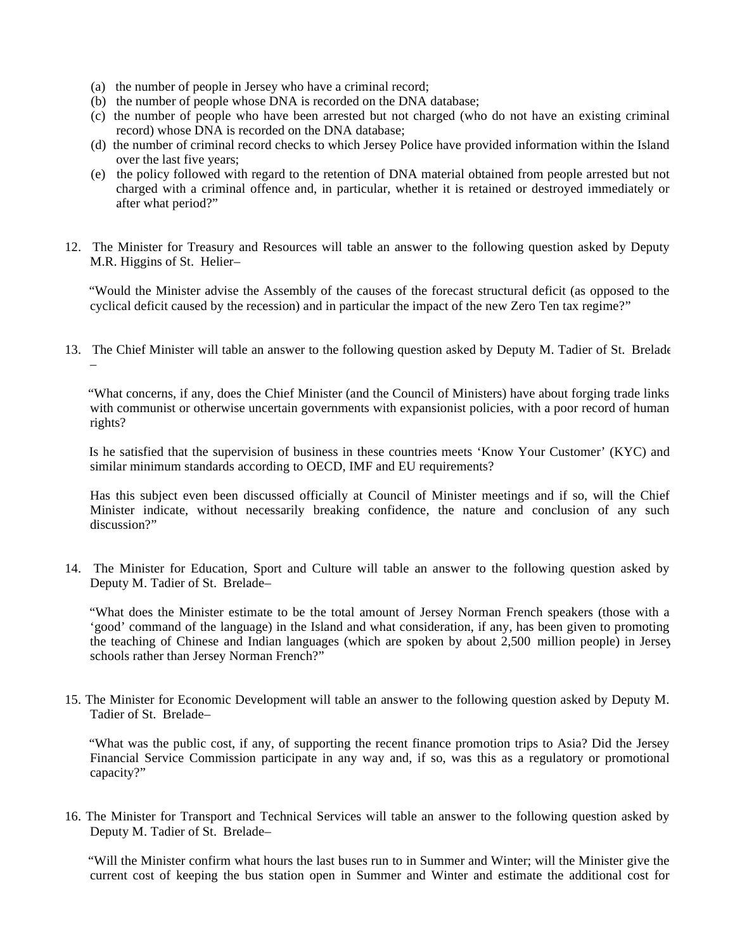- (a) the number of people in Jersey who have a criminal record;
- (b) the number of people whose DNA is recorded on the DNA database;
- (c) the number of people who have been arrested but not charged (who do not have an existing criminal record) whose DNA is recorded on the DNA database;
- (d) the number of criminal record checks to which Jersey Police have provided information within the Island over the last five years;
- (e) the policy followed with regard to the retention of DNA material obtained from people arrested but not charged with a criminal offence and, in particular, whether it is retained or destroyed immediately or after what period?"
- 12. The Minister for Treasury and Resources will table an answer to the following question asked by Deputy M.R. Higgins of St. Helier–

 "Would the Minister advise the Assembly of the causes of the forecast structural deficit (as opposed to the cyclical deficit caused by the recession) and in particular the impact of the new Zero Ten tax regime?"

13. The Chief Minister will table an answer to the following question asked by Deputy M. Tadier of St. Brelade –

 "What concerns, if any, does the Chief Minister (and the Council of Ministers) have about forging trade links with communist or otherwise uncertain governments with expansionist policies, with a poor record of human rights?

 Is he satisfied that the supervision of business in these countries meets 'Know Your Customer' (KYC) and similar minimum standards according to OECD, IMF and EU requirements?

 Has this subject even been discussed officially at Council of Minister meetings and if so, will the Chief Minister indicate, without necessarily breaking confidence, the nature and conclusion of any such discussion?"

14. The Minister for Education, Sport and Culture will table an answer to the following question asked by Deputy M. Tadier of St. Brelade–

 "What does the Minister estimate to be the total amount of Jersey Norman French speakers (those with a 'good' command of the language) in the Island and what consideration, if any, has been given to promoting the teaching of Chinese and Indian languages (which are spoken by about 2,500 million people) in Jersey schools rather than Jersey Norman French?"

15. The Minister for Economic Development will table an answer to the following question asked by Deputy M. Tadier of St. Brelade–

 "What was the public cost, if any, of supporting the recent finance promotion trips to Asia? Did the Jersey Financial Service Commission participate in any way and, if so, was this as a regulatory or promotional capacity?"

16. The Minister for Transport and Technical Services will table an answer to the following question asked by Deputy M. Tadier of St. Brelade–

 "Will the Minister confirm what hours the last buses run to in Summer and Winter; will the Minister give the current cost of keeping the bus station open in Summer and Winter and estimate the additional cost for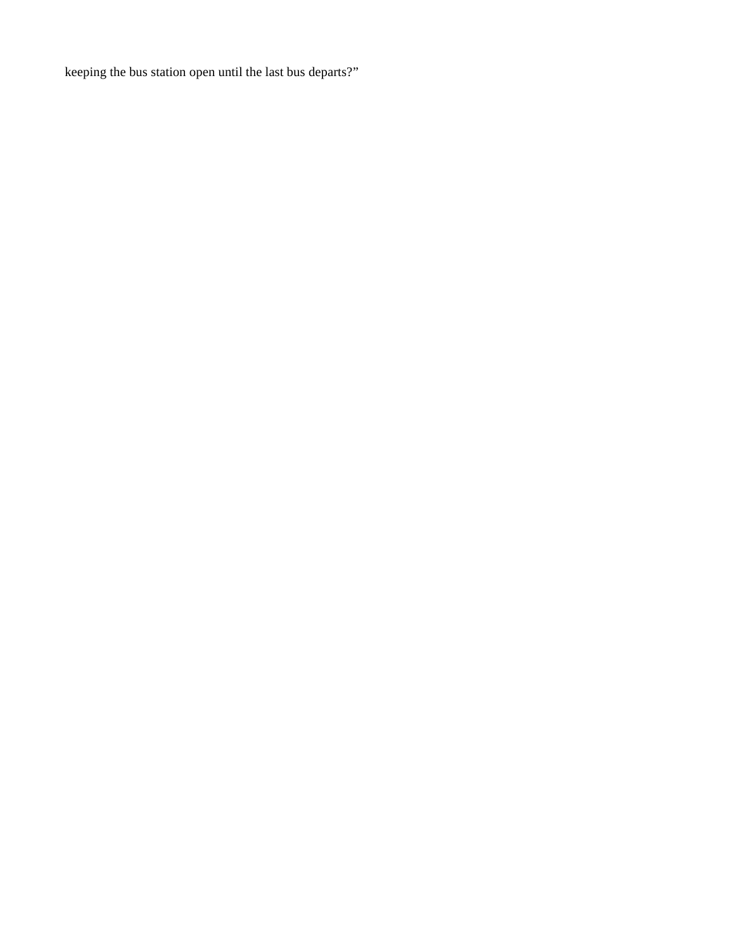keeping the bus station open until the last bus departs?"